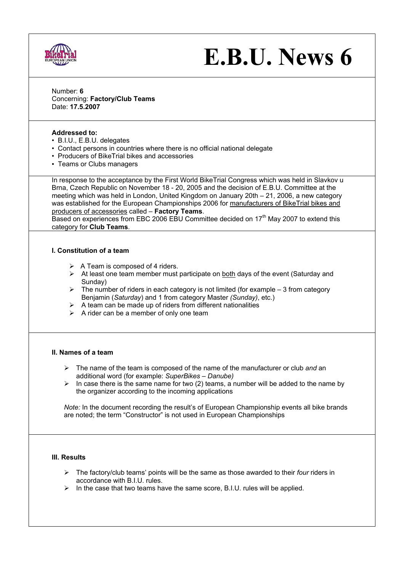

# **E.B.U. News 6**

Number: **6**  Concerning: **Factory/Club Teams** Date: **17.5.2007**

# **Addressed to:**

- B.I.U., E.B.U. delegates
- Contact persons in countries where there is no official national delegate
- Producers of BikeTrial bikes and accessories
- Teams or Clubs managers

In response to the acceptance by the First World BikeTrial Congress which was held in Slavkov u Brna, Czech Republic on November 18 - 20, 2005 and the decision of E.B.U. Committee at the meeting which was held in London, United Kingdom on January 20th – 21, 2006, a new category was established for the European Championships 2006 for manufacturers of BikeTrial bikes and producers of accessories called – **Factory Teams**.

Based on experiences from EBC 2006 EBU Committee decided on  $17<sup>th</sup>$  May 2007 to extend this category for **Club Teams**.

## **I. Constitution of a team**

- $\triangleright$  A Team is composed of 4 riders.
- $\triangleright$  At least one team member must participate on both days of the event (Saturday and Sunday)
- $\triangleright$  The number of riders in each category is not limited (for example 3 from category Benjamin (*Saturday*) and 1 from category Master *(Sunday)*, etc.)
- $\triangleright$  A team can be made up of riders from different nationalities
- $\triangleright$  A rider can be a member of only one team

#### **II. Names of a team**

- ¾ The name of the team is composed of the name of the manufacturer or club *and* an additional word (for example: *SuperBikes – Danube)*
- $\triangleright$  In case there is the same name for two (2) teams, a number will be added to the name by the organizer according to the incoming applications

*Note:* In the document recording the result's of European Championship events all bike brands are noted; the term "Constructor" is not used in European Championships

## **III. Results**

- ¾ The factory/club teams' points will be the same as those awarded to their *four* riders in accordance with B.I.U. rules.
- ¾ In the case that two teams have the same score, B.I.U. rules will be applied.